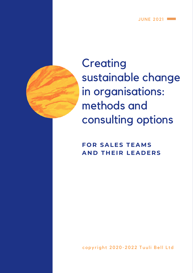**JUNE 2021 =** 



**Creating** sustainable change in organisations: methods and consulting options

**F O R SALES TEAMS A N D T H EI R LEA D E R S**

copyright 2020-2022 Tuuli Bell Ltd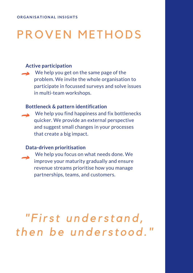# PROVEN METHODS

## **Active participation**

We help you get on the same page of the problem. We invite the whole organisation to participate in focussed surveys and solve issues in multi-team workshops.

#### **Bottleneck & pattern identification**

We help you find happiness and fix bottlenecks quicker. We provide an external perspective and suggest small changes in your processes that create a big impact.

#### **Data-driven prioritisation**

We help you focus on what needs done. We improve your maturity gradually and ensure revenue streams prioritise how you manage partnerships, teams, and customers.

*" F ir s t u n d e r s t a n d , t h e n b e u n d e r s t o o d ."*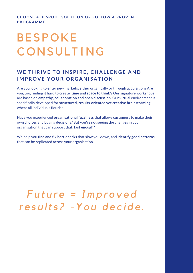#### **CHOOS E A BE SPOKE SOL U T ION OR FOL LOW A PROV EN PROG R AMME**

# **BESPOKE CONSULTING**

# **WE THRI V E TO INSPIRE , CHA L L ENG E AND IMPROVE YOUR ORGANISATION**

Are you looking to enter new markets, either organically or through acquisition? Are you, too, finding it hard to create '**time and space to think**'? Our signature workshops are based on **empathy, collaboration and open discussion**. Our virtual environment is specifically developed for **structured, results-oriented yet creative brainstorming** where all individuals flourish.

Have you experienced **organisational fuzziness** that allows customers to make their own choices and buying decisions? But you're not seeing the changes in your organisation that can support that, **fast enough**?

We help you **find and fix bottlenecks** that slow you down, and **identify good patterns** that can be replicated across your organisation.

*F u t u r e = I m p r o v e d r e s u lt s ? -Yo u d e c i d e .*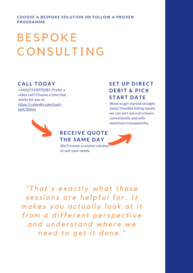**CHOOS E A BE SPOKE SOL U T ION OR FOL LOW A PROV EN PROG R AMME**

# **BESPOKE CONSULTING**

### **C A L L TOD A Y**

+44(0)7533070283. Prefer a video call? Choose a time that works for you at [https://calendly.com/tuuli](https://calendly.com/tuuli-bell/30min)bell/30min



## **S E T U P D IRECT D EBI T & PICK S T A RT D A T E**

Want to get started straight away? Flexible billing means we can sort out extra hours conveniently and with maximum transparently.



We'll create a custom solution to suit your needs.

*" T h a t' s e x a c tl y wh a t t h e s e s e s s i o n s a r e h e l p f u l f o r. It m a k e s y o u a c t u a l l y l o o k a t it fr o m a d iff e r e n t p e r s p e c ti v e a n d u n d e r s t a n d wh e r e we n e e d t o g e t it d o n e ."*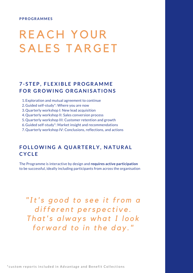#### **PPROG R AMME S**

# REACH YOUR SALES TARGET

# **7 - S T EP, F L EXIBL E PROG R AMME FOR G ROWING OR G ANI S A T IONS**

- Exploration and mutual agreement to continue 1.
- 2. Guided self-study\*: Where you are now
- Quarterly workshop I: New lead acquisition 3.
- Quarterly workshop II: Sales conversion process 4.
- 5. Quarterly workshop III: Customer retention and growth
- 6. Guided self-study\*: Market insight and recommendations
- Quarterly workshop IV: Conclusions, reflections, and actions 7.

### **FOLLOWING A QUARTERLY, NATURAL CYCL E**

The Programme is interactive by design and **requires active participation** to be successful, ideally including participants from across the organisation

*"It' s g o o d t o s e e it fr o m a d iff e r e n t p e r s p e c ti v e . T h a t' s a lwa y s wh a t I l o o k f o rwa r d t o i n t h e d a y ."*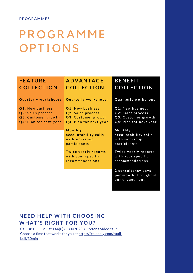#### **PPOG R AMME S**

# **PROGRAMME OPTIONS**

# **F E A T U RE COL L ECT ION**

#### **Quarterly workshops:**

**Q1**: New business **Q2**: Sales process **Q3**: Customer growth **Q4**: Plan for next year

# **A D V ANT A G E COL L ECT ION**

**Quarterly workshops:** 

**Q1**: New business **Q2**: Sales process **Q3**: Customer growth **Q4**: Plan for next year

**Mo n t h l y a c c o u n t a b i l it y c a l l s** with workshop p ar ticipants

**Twice yearly reports** with your specific r e commendations

# **BENE F I T COL L ECT ION**

#### $\alpha$  **Quarterly workshops:**

**Q1**: New business **Q2**: Sales process **Q3**: Customer growth **Q4**: Plan for next year

**Mo n t h l y a c c o u n t a b i l it y c a l l s** with workshop p ar ticip ants

**Twice yearly reports** with your specific r e commendations

**2 c o n s u lt a n c y d a y s p e r m o n t h** t h r o u g h o u t our engagement

# **NE E D HE LP WI TH CHOOS ING WHA T ' S RI GHT FOR YOU ?**

Call Dr Tuuli Bell at +44(0)7533070283. Prefer a video call? Choose a time that works for you at [https://calendly.com/tuuli](https://calendly.com/tuuli-bell/30min)bell/30min